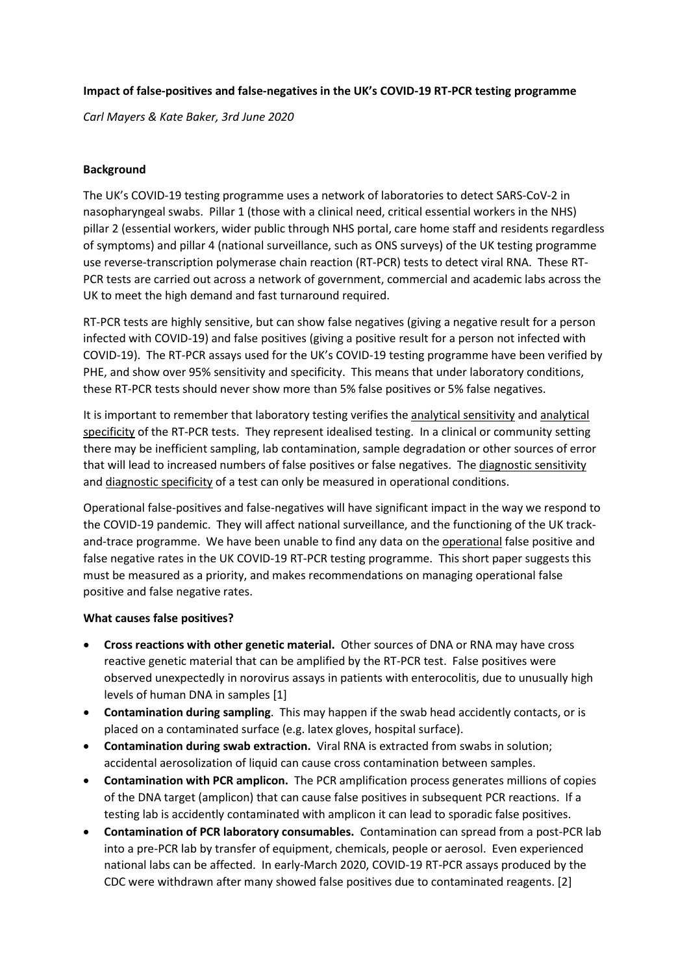### **Impact of false-positives and false-negatives in the UK's COVID-19 RT-PCR testing programme**

*Carl Mayers & Kate Baker, 3rd June 2020*

## **Background**

The UK's COVID-19 testing programme uses a network of laboratories to detect SARS-CoV-2 in nasopharyngeal swabs. Pillar 1 (those with a clinical need, critical essential workers in the NHS) pillar 2 (essential workers, wider public through NHS portal, care home staff and residents regardless of symptoms) and pillar 4 (national surveillance, such as ONS surveys) of the UK testing programme use reverse-transcription polymerase chain reaction (RT-PCR) tests to detect viral RNA. These RT-PCR tests are carried out across a network of government, commercial and academic labs across the UK to meet the high demand and fast turnaround required.

RT-PCR tests are highly sensitive, but can show false negatives (giving a negative result for a person infected with COVID-19) and false positives (giving a positive result for a person not infected with COVID-19). The RT-PCR assays used for the UK's COVID-19 testing programme have been verified by PHE, and show over 95% sensitivity and specificity. This means that under laboratory conditions, these RT-PCR tests should never show more than 5% false positives or 5% false negatives.

It is important to remember that laboratory testing verifies the analytical sensitivity and analytical specificity of the RT-PCR tests. They represent idealised testing. In a clinical or community setting there may be inefficient sampling, lab contamination, sample degradation or other sources of error that will lead to increased numbers of false positives or false negatives. The diagnostic sensitivity and diagnostic specificity of a test can only be measured in operational conditions.

Operational false-positives and false-negatives will have significant impact in the way we respond to the COVID-19 pandemic. They will affect national surveillance, and the functioning of the UK trackand-trace programme. We have been unable to find any data on the operational false positive and false negative rates in the UK COVID-19 RT-PCR testing programme. This short paper suggests this must be measured as a priority, and makes recommendations on managing operational false positive and false negative rates.

### **What causes false positives?**

- **Cross reactions with other genetic material.** Other sources of DNA or RNA may have cross reactive genetic material that can be amplified by the RT-PCR test. False positives were observed unexpectedly in norovirus assays in patients with enterocolitis, due to unusually high levels of human DNA in samples [1]
- **Contamination during sampling**. This may happen if the swab head accidently contacts, or is placed on a contaminated surface (e.g. latex gloves, hospital surface).
- **Contamination during swab extraction.** Viral RNA is extracted from swabs in solution; accidental aerosolization of liquid can cause cross contamination between samples.
- **Contamination with PCR amplicon.** The PCR amplification process generates millions of copies of the DNA target (amplicon) that can cause false positives in subsequent PCR reactions. If a testing lab is accidently contaminated with amplicon it can lead to sporadic false positives.
- **Contamination of PCR laboratory consumables.** Contamination can spread from a post-PCR lab into a pre-PCR lab by transfer of equipment, chemicals, people or aerosol. Even experienced national labs can be affected. In early-March 2020, COVID-19 RT-PCR assays produced by the CDC were withdrawn after many showed false positives due to contaminated reagents. [2]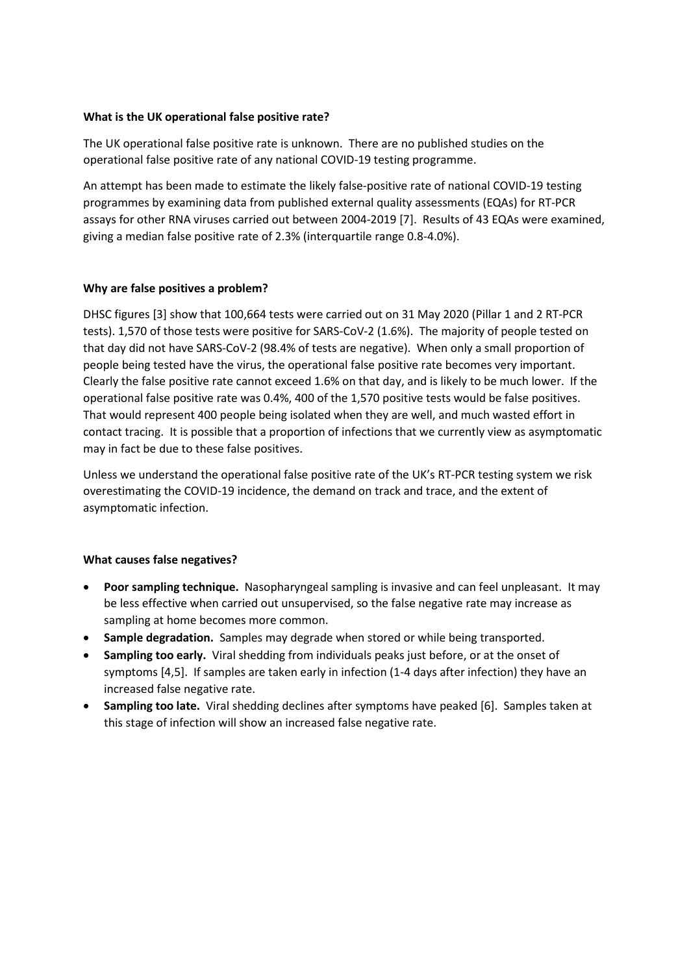### **What is the UK operational false positive rate?**

The UK operational false positive rate is unknown. There are no published studies on the operational false positive rate of any national COVID-19 testing programme.

An attempt has been made to estimate the likely false-positive rate of national COVID-19 testing programmes by examining data from published external quality assessments (EQAs) for RT-PCR assays for other RNA viruses carried out between 2004-2019 [7]. Results of 43 EQAs were examined, giving a median false positive rate of 2.3% (interquartile range 0.8-4.0%).

## **Why are false positives a problem?**

DHSC figures [3] show that 100,664 tests were carried out on 31 May 2020 (Pillar 1 and 2 RT-PCR tests). 1,570 of those tests were positive for SARS-CoV-2 (1.6%). The majority of people tested on that day did not have SARS-CoV-2 (98.4% of tests are negative). When only a small proportion of people being tested have the virus, the operational false positive rate becomes very important. Clearly the false positive rate cannot exceed 1.6% on that day, and is likely to be much lower. If the operational false positive rate was 0.4%, 400 of the 1,570 positive tests would be false positives. That would represent 400 people being isolated when they are well, and much wasted effort in contact tracing. It is possible that a proportion of infections that we currently view as asymptomatic may in fact be due to these false positives.

Unless we understand the operational false positive rate of the UK's RT-PCR testing system we risk overestimating the COVID-19 incidence, the demand on track and trace, and the extent of asymptomatic infection.

### **What causes false negatives?**

- **Poor sampling technique.** Nasopharyngeal sampling is invasive and can feel unpleasant. It may be less effective when carried out unsupervised, so the false negative rate may increase as sampling at home becomes more common.
- **Sample degradation.** Samples may degrade when stored or while being transported.
- **Sampling too early.** Viral shedding from individuals peaks just before, or at the onset of symptoms [4,5]. If samples are taken early in infection (1-4 days after infection) they have an increased false negative rate.
- **Sampling too late.** Viral shedding declines after symptoms have peaked [6]. Samples taken at this stage of infection will show an increased false negative rate.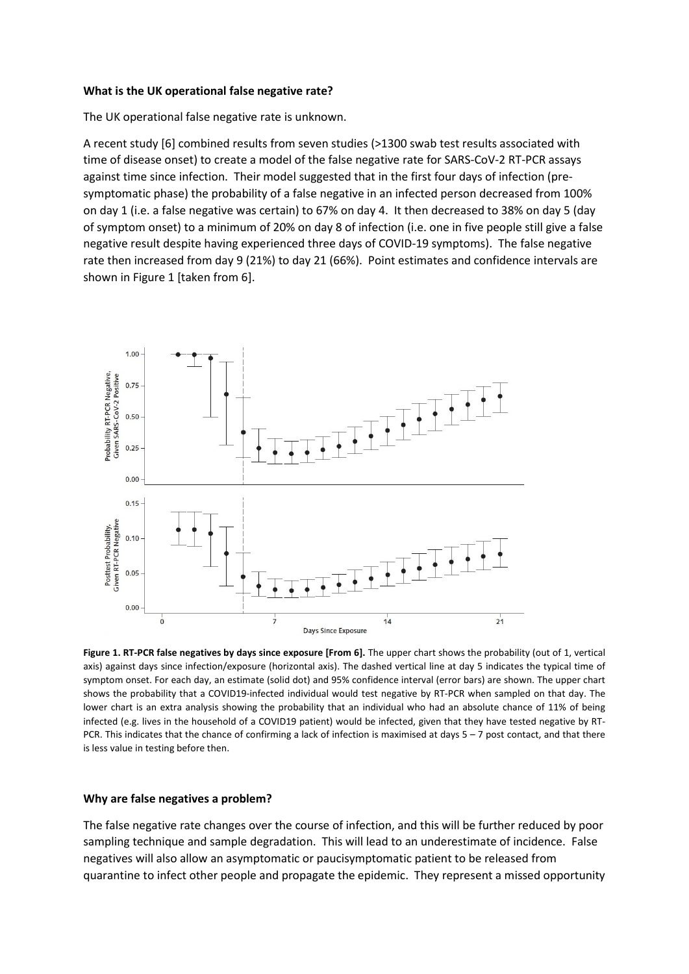#### **What is the UK operational false negative rate?**

The UK operational false negative rate is unknown.

A recent study [6] combined results from seven studies (>1300 swab test results associated with time of disease onset) to create a model of the false negative rate for SARS-CoV-2 RT-PCR assays against time since infection. Their model suggested that in the first four days of infection (presymptomatic phase) the probability of a false negative in an infected person decreased from 100% on day 1 (i.e. a false negative was certain) to 67% on day 4. It then decreased to 38% on day 5 (day of symptom onset) to a minimum of 20% on day 8 of infection (i.e. one in five people still give a false negative result despite having experienced three days of COVID-19 symptoms). The false negative rate then increased from day 9 (21%) to day 21 (66%). Point estimates and confidence intervals are shown in Figure 1 [taken from 6].



**Figure 1. RT-PCR false negatives by days since exposure [From 6].** The upper chart shows the probability (out of 1, vertical axis) against days since infection/exposure (horizontal axis). The dashed vertical line at day 5 indicates the typical time of symptom onset. For each day, an estimate (solid dot) and 95% confidence interval (error bars) are shown. The upper chart shows the probability that a COVID19-infected individual would test negative by RT-PCR when sampled on that day. The lower chart is an extra analysis showing the probability that an individual who had an absolute chance of 11% of being infected (e.g. lives in the household of a COVID19 patient) would be infected, given that they have tested negative by RT-PCR. This indicates that the chance of confirming a lack of infection is maximised at days 5 – 7 post contact, and that there is less value in testing before then.

#### **Why are false negatives a problem?**

The false negative rate changes over the course of infection, and this will be further reduced by poor sampling technique and sample degradation. This will lead to an underestimate of incidence. False negatives will also allow an asymptomatic or paucisymptomatic patient to be released from quarantine to infect other people and propagate the epidemic. They represent a missed opportunity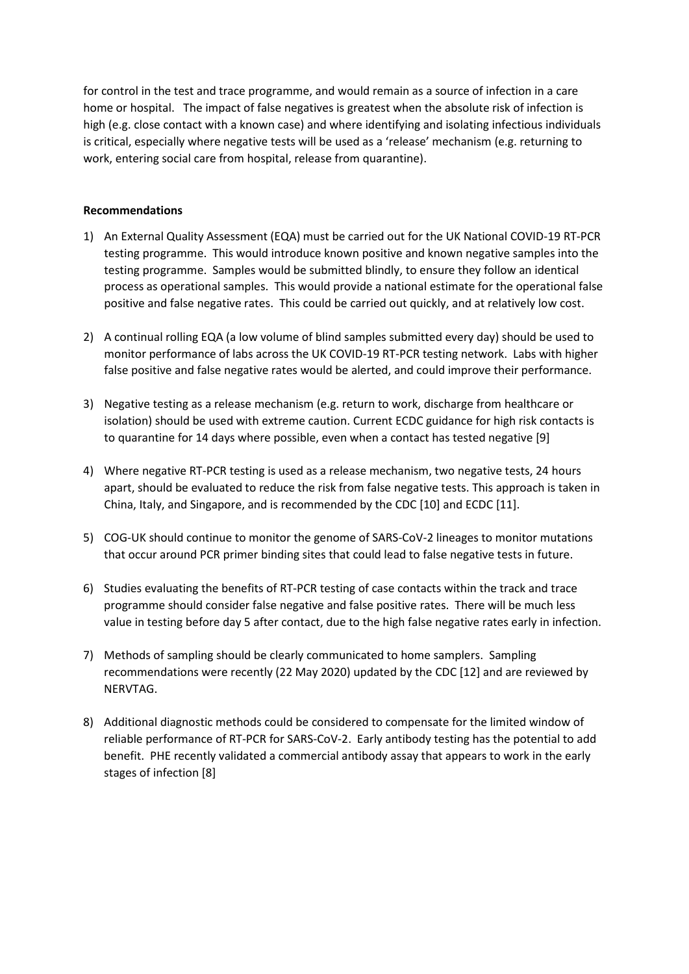for control in the test and trace programme, and would remain as a source of infection in a care home or hospital. The impact of false negatives is greatest when the absolute risk of infection is high (e.g. close contact with a known case) and where identifying and isolating infectious individuals is critical, especially where negative tests will be used as a 'release' mechanism (e.g. returning to work, entering social care from hospital, release from quarantine).

### **Recommendations**

- 1) An External Quality Assessment (EQA) must be carried out for the UK National COVID-19 RT-PCR testing programme. This would introduce known positive and known negative samples into the testing programme. Samples would be submitted blindly, to ensure they follow an identical process as operational samples. This would provide a national estimate for the operational false positive and false negative rates. This could be carried out quickly, and at relatively low cost.
- 2) A continual rolling EQA (a low volume of blind samples submitted every day) should be used to monitor performance of labs across the UK COVID-19 RT-PCR testing network. Labs with higher false positive and false negative rates would be alerted, and could improve their performance.
- 3) Negative testing as a release mechanism (e.g. return to work, discharge from healthcare or isolation) should be used with extreme caution. Current ECDC guidance for high risk contacts is to quarantine for 14 days where possible, even when a contact has tested negative [9]
- 4) Where negative RT-PCR testing is used as a release mechanism, two negative tests, 24 hours apart, should be evaluated to reduce the risk from false negative tests. This approach is taken in China, Italy, and Singapore, and is recommended by the CDC [10] and ECDC [11].
- 5) COG-UK should continue to monitor the genome of SARS-CoV-2 lineages to monitor mutations that occur around PCR primer binding sites that could lead to false negative tests in future.
- 6) Studies evaluating the benefits of RT-PCR testing of case contacts within the track and trace programme should consider false negative and false positive rates. There will be much less value in testing before day 5 after contact, due to the high false negative rates early in infection.
- 7) Methods of sampling should be clearly communicated to home samplers. Sampling recommendations were recently (22 May 2020) updated by the CDC [12] and are reviewed by NERVTAG.
- 8) Additional diagnostic methods could be considered to compensate for the limited window of reliable performance of RT-PCR for SARS-CoV-2. Early antibody testing has the potential to add benefit. PHE recently validated a commercial antibody assay that appears to work in the early stages of infection [8]